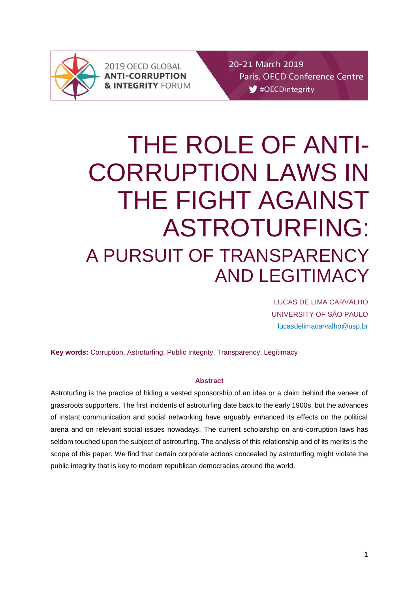

2019 OECD GLOBAL **ANTI-CORRUPTION & INTEGRITY FORUM**  20-21 March 2019 Paris, OECD Conference Centre #OECDintegrity

# THE ROLE OF ANTI-CORRUPTION LAWS IN THE FIGHT AGAINST ASTROTURFING: A PURSUIT OF TRANSPARENCY AND LEGITIMACY

LUCAS DE LIMA CARVALHO UNIVERSITY OF SÃO PAULO [lucasdelimacarvalho@usp.br](mailto:lucasdelimacarvalho@usp.br)

**Key words:** Corruption, Astroturfing, Public Integrity, Transparency, Legitimacy

## **Abstract**

Astroturfing is the practice of hiding a vested sponsorship of an idea or a claim behind the veneer of grassroots supporters. The first incidents of astroturfing date back to the early 1900s, but the advances of instant communication and social networking have arguably enhanced its effects on the political arena and on relevant social issues nowadays. The current scholarship on anti-corruption laws has seldom touched upon the subject of astroturfing. The analysis of this relationship and of its merits is the scope of this paper. We find that certain corporate actions concealed by astroturfing might violate the public integrity that is key to modern republican democracies around the world.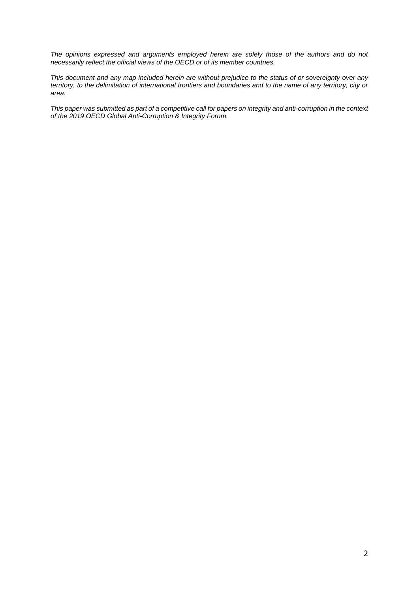*The opinions expressed and arguments employed herein are solely those of the authors and do not necessarily reflect the official views of the OECD or of its member countries.*

*This document and any map included herein are without prejudice to the status of or sovereignty over any territory, to the delimitation of international frontiers and boundaries and to the name of any territory, city or area.*

*This paper was submitted as part of a competitive call for papers on integrity and anti-corruption in the context of the 2019 OECD Global Anti-Corruption & Integrity Forum.*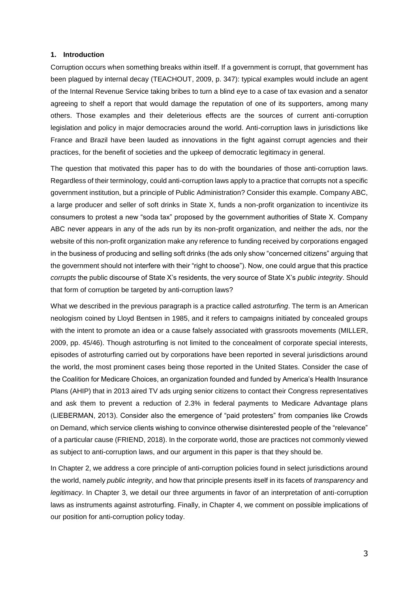#### **1. Introduction**

Corruption occurs when something breaks within itself. If a government is corrupt, that government has been plagued by internal decay (TEACHOUT, 2009, p. 347): typical examples would include an agent of the Internal Revenue Service taking bribes to turn a blind eye to a case of tax evasion and a senator agreeing to shelf a report that would damage the reputation of one of its supporters, among many others. Those examples and their deleterious effects are the sources of current anti-corruption legislation and policy in major democracies around the world. Anti-corruption laws in jurisdictions like France and Brazil have been lauded as innovations in the fight against corrupt agencies and their practices, for the benefit of societies and the upkeep of democratic legitimacy in general.

The question that motivated this paper has to do with the boundaries of those anti-corruption laws. Regardless of their terminology, could anti-corruption laws apply to a practice that corrupts not a specific government institution, but a principle of Public Administration? Consider this example. Company ABC, a large producer and seller of soft drinks in State X, funds a non-profit organization to incentivize its consumers to protest a new "soda tax" proposed by the government authorities of State X. Company ABC never appears in any of the ads run by its non-profit organization, and neither the ads, nor the website of this non-profit organization make any reference to funding received by corporations engaged in the business of producing and selling soft drinks (the ads only show "concerned citizens" arguing that the government should not interfere with their "right to choose"). Now, one could argue that this practice *corrupts* the public discourse of State X's residents, the very source of State X's *public integrity*. Should that form of corruption be targeted by anti-corruption laws?

What we described in the previous paragraph is a practice called *astroturfing*. The term is an American neologism coined by Lloyd Bentsen in 1985, and it refers to campaigns initiated by concealed groups with the intent to promote an idea or a cause falsely associated with grassroots movements (MILLER, 2009, pp. 45/46). Though astroturfing is not limited to the concealment of corporate special interests, episodes of astroturfing carried out by corporations have been reported in several jurisdictions around the world, the most prominent cases being those reported in the United States. Consider the case of the Coalition for Medicare Choices, an organization founded and funded by America's Health Insurance Plans (AHIP) that in 2013 aired TV ads urging senior citizens to contact their Congress representatives and ask them to prevent a reduction of 2.3% in federal payments to Medicare Advantage plans (LIEBERMAN, 2013). Consider also the emergence of "paid protesters" from companies like Crowds on Demand, which service clients wishing to convince otherwise disinterested people of the "relevance" of a particular cause (FRIEND, 2018). In the corporate world, those are practices not commonly viewed as subject to anti-corruption laws, and our argument in this paper is that they should be.

In Chapter 2, we address a core principle of anti-corruption policies found in select jurisdictions around the world, namely *public integrity*, and how that principle presents itself in its facets of *transparency* and *legitimacy*. In Chapter 3, we detail our three arguments in favor of an interpretation of anti-corruption laws as instruments against astroturfing. Finally, in Chapter 4, we comment on possible implications of our position for anti-corruption policy today.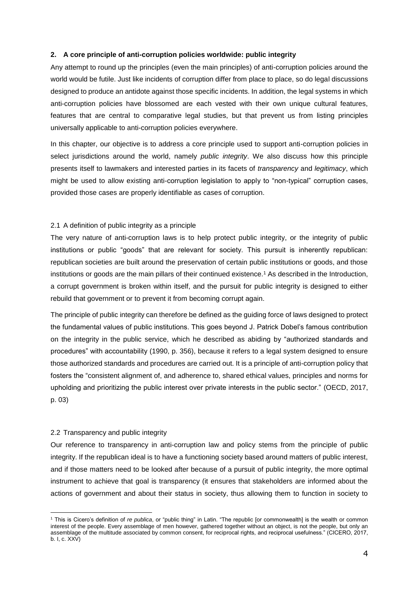## **2. A core principle of anti-corruption policies worldwide: public integrity**

Any attempt to round up the principles (even the main principles) of anti-corruption policies around the world would be futile. Just like incidents of corruption differ from place to place, so do legal discussions designed to produce an antidote against those specific incidents. In addition, the legal systems in which anti-corruption policies have blossomed are each vested with their own unique cultural features, features that are central to comparative legal studies, but that prevent us from listing principles universally applicable to anti-corruption policies everywhere.

In this chapter, our objective is to address a core principle used to support anti-corruption policies in select jurisdictions around the world, namely *public integrity*. We also discuss how this principle presents itself to lawmakers and interested parties in its facets of *transparency* and *legitimacy*, which might be used to allow existing anti-corruption legislation to apply to "non-typical" corruption cases, provided those cases are properly identifiable as cases of corruption.

## 2.1 A definition of public integrity as a principle

The very nature of anti-corruption laws is to help protect public integrity, or the integrity of public institutions or public "goods" that are relevant for society. This pursuit is inherently republican: republican societies are built around the preservation of certain public institutions or goods, and those institutions or goods are the main pillars of their continued existence.<sup>1</sup> As described in the Introduction, a corrupt government is broken within itself, and the pursuit for public integrity is designed to either rebuild that government or to prevent it from becoming corrupt again.

The principle of public integrity can therefore be defined as the guiding force of laws designed to protect the fundamental values of public institutions. This goes beyond J. Patrick Dobel's famous contribution on the integrity in the public service, which he described as abiding by "authorized standards and procedures" with accountability (1990, p. 356), because it refers to a legal system designed to ensure those authorized standards and procedures are carried out. It is a principle of anti-corruption policy that fosters the "consistent alignment of, and adherence to, shared ethical values, principles and norms for upholding and prioritizing the public interest over private interests in the public sector." (OECD, 2017, p. 03)

## 2.2 Transparency and public integrity

Our reference to transparency in anti-corruption law and policy stems from the principle of public integrity. If the republican ideal is to have a functioning society based around matters of public interest, and if those matters need to be looked after because of a pursuit of public integrity, the more optimal instrument to achieve that goal is transparency (it ensures that stakeholders are informed about the actions of government and about their status in society, thus allowing them to function in society to

<sup>-</sup><sup>1</sup> This is Cicero's definition of *re publica*, or "public thing" in Latin. "The republic [or commonwealth] is the wealth or common interest of the people. Every assemblage of men however, gathered together without an object, is not the people, but only an assemblage of the multitude associated by common consent, for reciprocal rights, and reciprocal usefulness." (CICERO, 2017, b. I, c. XXV)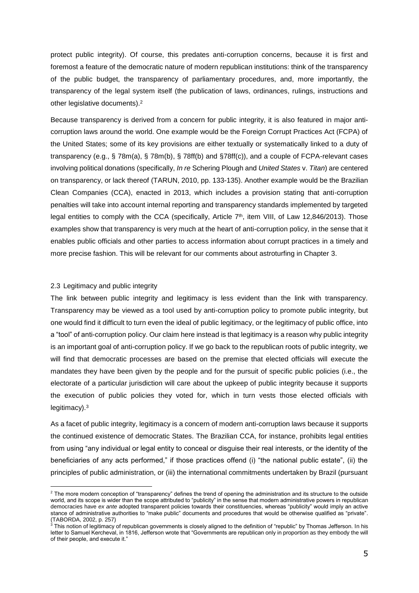protect public integrity). Of course, this predates anti-corruption concerns, because it is first and foremost a feature of the democratic nature of modern republican institutions: think of the transparency of the public budget, the transparency of parliamentary procedures, and, more importantly, the transparency of the legal system itself (the publication of laws, ordinances, rulings, instructions and other legislative documents).<sup>2</sup>

Because transparency is derived from a concern for public integrity, it is also featured in major anticorruption laws around the world. One example would be the Foreign Corrupt Practices Act (FCPA) of the United States; some of its key provisions are either textually or systematically linked to a duty of transparency (e.g., § 78m(a), § 78m(b), § 78ff(b) and §78ff(c)), and a couple of FCPA-relevant cases involving political donations (specifically, *In re* Schering Plough and *United States* v. *Titan*) are centered on transparency, or lack thereof (TARUN, 2010, pp. 133-135). Another example would be the Brazilian Clean Companies (CCA), enacted in 2013, which includes a provision stating that anti-corruption penalties will take into account internal reporting and transparency standards implemented by targeted legal entities to comply with the CCA (specifically, Article 7<sup>th</sup>, item VIII, of Law 12,846/2013). Those examples show that transparency is very much at the heart of anti-corruption policy, in the sense that it enables public officials and other parties to access information about corrupt practices in a timely and more precise fashion. This will be relevant for our comments about astroturfing in Chapter 3.

## 2.3 Legitimacy and public integrity

-

The link between public integrity and legitimacy is less evident than the link with transparency. Transparency may be viewed as a tool used by anti-corruption policy to promote public integrity, but one would find it difficult to turn even the ideal of public legitimacy, or the legitimacy of public office, into a "tool" of anti-corruption policy. Our claim here instead is that legitimacy is a reason why public integrity is an important goal of anti-corruption policy. If we go back to the republican roots of public integrity, we will find that democratic processes are based on the premise that elected officials will execute the mandates they have been given by the people and for the pursuit of specific public policies (i.e., the electorate of a particular jurisdiction will care about the upkeep of public integrity because it supports the execution of public policies they voted for, which in turn vests those elected officials with legitimacy).<sup>3</sup>

As a facet of public integrity, legitimacy is a concern of modern anti-corruption laws because it supports the continued existence of democratic States. The Brazilian CCA, for instance, prohibits legal entities from using "any individual or legal entity to conceal or disguise their real interests, or the identity of the beneficiaries of any acts performed," if those practices offend (i) "the national public estate", (ii) the principles of public administration, or (iii) the international commitments undertaken by Brazil (pursuant

<sup>&</sup>lt;sup>2</sup> The more modern conception of "transparency" defines the trend of opening the administration and its structure to the outside world, and its scope is wider than the scope attributed to "publicity" in the sense that modern administrative powers in republican democracies have *ex ante* adopted transparent policies towards their constituencies, whereas "publicity" would imply an active stance of administrative authorities to "make public" documents and procedures that would be otherwise qualified as "private". (TABORDA, 2002, p. 257)

 $^3$  This notion of legitimacy of republican governments is closely aligned to the definition of "republic" by Thomas Jefferson. In his letter to Samuel Kercheval, in 1816, Jefferson wrote that "Governments are republican only in proportion as they embody the will of their people, and execute it."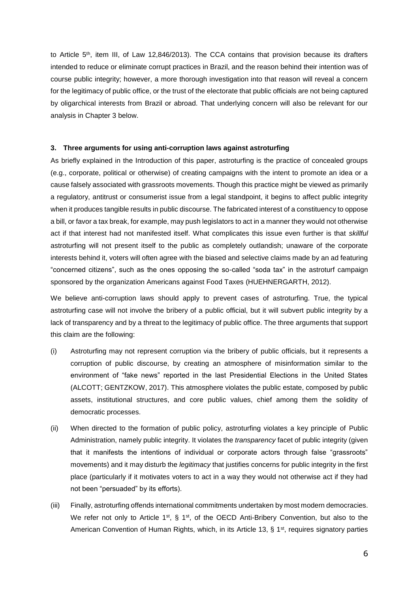to Article 5<sup>th</sup>, item III, of Law 12,846/2013). The CCA contains that provision because its drafters intended to reduce or eliminate corrupt practices in Brazil, and the reason behind their intention was of course public integrity; however, a more thorough investigation into that reason will reveal a concern for the legitimacy of public office, or the trust of the electorate that public officials are not being captured by oligarchical interests from Brazil or abroad. That underlying concern will also be relevant for our analysis in Chapter 3 below.

## **3. Three arguments for using anti-corruption laws against astroturfing**

As briefly explained in the Introduction of this paper, astroturfing is the practice of concealed groups (e.g., corporate, political or otherwise) of creating campaigns with the intent to promote an idea or a cause falsely associated with grassroots movements. Though this practice might be viewed as primarily a regulatory, antitrust or consumerist issue from a legal standpoint, it begins to affect public integrity when it produces tangible results in public discourse. The fabricated interest of a constituency to oppose a bill, or favor a tax break, for example, may push legislators to act in a manner they would not otherwise act if that interest had not manifested itself. What complicates this issue even further is that *skillful* astroturfing will not present itself to the public as completely outlandish; unaware of the corporate interests behind it, voters will often agree with the biased and selective claims made by an ad featuring "concerned citizens", such as the ones opposing the so-called "soda tax" in the astroturf campaign sponsored by the organization Americans against Food Taxes (HUEHNERGARTH, 2012).

We believe anti-corruption laws should apply to prevent cases of astroturfing. True, the typical astroturfing case will not involve the bribery of a public official, but it will subvert public integrity by a lack of transparency and by a threat to the legitimacy of public office. The three arguments that support this claim are the following:

- (i) Astroturfing may not represent corruption via the bribery of public officials, but it represents a corruption of public discourse, by creating an atmosphere of misinformation similar to the environment of "fake news" reported in the last Presidential Elections in the United States (ALCOTT; GENTZKOW, 2017). This atmosphere violates the public estate, composed by public assets, institutional structures, and core public values, chief among them the solidity of democratic processes.
- (ii) When directed to the formation of public policy, astroturfing violates a key principle of Public Administration, namely public integrity. It violates the *transparency* facet of public integrity (given that it manifests the intentions of individual or corporate actors through false "grassroots" movements) and it may disturb the *legitimacy* that justifies concerns for public integrity in the first place (particularly if it motivates voters to act in a way they would not otherwise act if they had not been "persuaded" by its efforts).
- (iii) Finally, astroturfing offends international commitments undertaken by most modern democracies. We refer not only to Article 1<sup>st</sup>, § 1<sup>st</sup>, of the OECD Anti-Bribery Convention, but also to the American Convention of Human Rights, which, in its Article 13, § 1<sup>st</sup>, requires signatory parties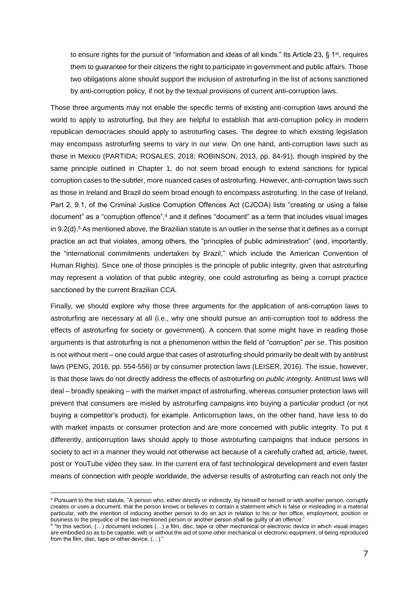to ensure rights for the pursuit of "information and ideas of all kinds." Its Article 23, § 1<sup>st</sup>, requires them to guarantee for their citizens the right to participate in government and public affairs. Those two obligations alone should support the inclusion of astroturfing in the list of actions sanctioned by anti-corruption policy, if not by the textual provisions of current anti-corruption laws.

Those three arguments may not enable the specific terms of existing anti-corruption laws around the world to apply to astroturfing, but they are helpful to establish that anti-corruption policy in modern republican democracies should apply to astroturfing cases. The degree to which existing legislation may encompass astroturfing seems to vary in our view. On one hand, anti-corruption laws such as those in Mexico (PARTIDA; ROSALES, 2018; ROBINSON, 2013, pp. 84-91), though inspired by the same principle outlined in Chapter 1, do not seem broad enough to extend sanctions for typical corruption cases to the subtler, more nuanced cases of astroturfing. However, anti-corruption laws such as those in Ireland and Brazil do seem broad enough to encompass astroturfing. In the case of Ireland, Part 2, 9.1, of the Criminal Justice Corruption Offences Act (CJCOA) lists "creating or using a false document" as a "corruption offence",<sup>4</sup> and it defines "document" as a term that includes visual images in  $9.2$ (d).<sup>5</sup> As mentioned above, the Brazilian statute is an outlier in the sense that it defines as a corrupt practice an act that violates, among others, the "principles of public administration" (and, importantly, the "international commitments undertaken by Brazil," which include the American Convention of Human Rights). Since one of those principles is the principle of public integrity, given that astroturfing may represent a violation of that public integrity, one could astroturfing as being a corrupt practice sanctioned by the current Brazilian CCA.

Finally, we should explore why those three arguments for the application of anti-corruption laws to astroturfing are necessary at all (i.e., why one should pursue an anti-corruption tool to address the effects of astroturfing for society or government). A concern that some might have in reading those arguments is that astroturfing is not a phenomenon within the field of "corruption" *per se*. This position is not without merit – one could argue that cases of astroturfing should primarily be dealt with by antitrust laws (PENG, 2016, pp. 554-556) or by consumer protection laws (LEISER, 2016). The issue, however, is that those laws do not directly address the effects of astroturfing on *public integrity*. Antitrust laws will deal – broadly speaking – with the market impact of astroturfing, whereas consumer protection laws will prevent that consumers are misled by astroturfing campaigns into buying a particular product (or not buying a competitor's product), for example. Anticorruption laws, on the other hand, have less to do with market impacts or consumer protection and are more concerned with public integrity. To put it differently, anticorruption laws should apply to those astroturfing campaigns that induce persons in society to act in a manner they would not otherwise act because of a carefully crafted ad, article, tweet, post or YouTube video they saw. In the current era of fast technological development and even faster means of connection with people worldwide, the adverse results of astroturfing can reach not only the

 $\overline{a}$ 

<sup>4</sup> Pursuant to the Irish statute, "A person who, either directly or indirectly, by himself or herself or with another person, corruptly creates or uses a document, that the person knows or believes to contain a statement which is false or misleading in a material particular, with the intention of inducing another person to do an act in relation to his or her office, employment, position or business to the prejudice of the last-mentioned person or another person shall be guilty of an offence."

<sup>5</sup> "In this section, (…) document includes (…) a film, disc, tape or other mechanical or electronic device in which visual images are embodied so as to be capable, with or without the aid of some other mechanical or electronic equipment, of being reproduced from the film, disc, tape or other device, (…)."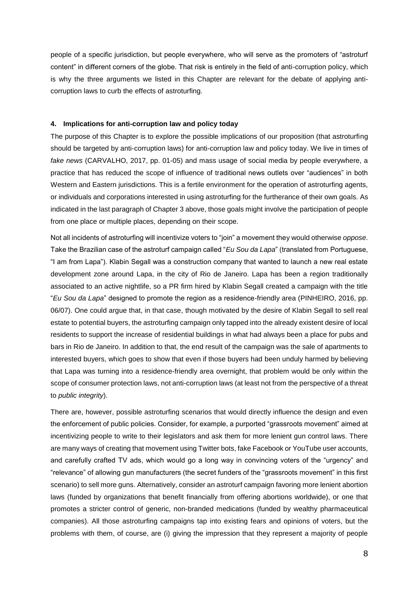people of a specific jurisdiction, but people everywhere, who will serve as the promoters of "astroturf content" in different corners of the globe. That risk is entirely in the field of anti-corruption policy, which is why the three arguments we listed in this Chapter are relevant for the debate of applying anticorruption laws to curb the effects of astroturfing.

#### **4. Implications for anti-corruption law and policy today**

The purpose of this Chapter is to explore the possible implications of our proposition (that astroturfing should be targeted by anti-corruption laws) for anti-corruption law and policy today. We live in times of *fake news* (CARVALHO, 2017, pp. 01-05) and mass usage of social media by people everywhere, a practice that has reduced the scope of influence of traditional news outlets over "audiences" in both Western and Eastern jurisdictions. This is a fertile environment for the operation of astroturfing agents, or individuals and corporations interested in using astroturfing for the furtherance of their own goals. As indicated in the last paragraph of Chapter 3 above, those goals might involve the participation of people from one place or multiple places, depending on their scope.

Not all incidents of astroturfing will incentivize voters to "join" a movement they would otherwise *oppose*. Take the Brazilian case of the astroturf campaign called "*Eu Sou da Lapa*" (translated from Portuguese, "I am from Lapa"). Klabin Segall was a construction company that wanted to launch a new real estate development zone around Lapa, in the city of Rio de Janeiro. Lapa has been a region traditionally associated to an active nightlife, so a PR firm hired by Klabin Segall created a campaign with the title "*Eu Sou da Lapa*" designed to promote the region as a residence-friendly area (PINHEIRO, 2016, pp. 06/07). One could argue that, in that case, though motivated by the desire of Klabin Segall to sell real estate to potential buyers, the astroturfing campaign only tapped into the already existent desire of local residents to support the increase of residential buildings in what had always been a place for pubs and bars in Rio de Janeiro. In addition to that, the end result of the campaign was the sale of apartments to interested buyers, which goes to show that even if those buyers had been unduly harmed by believing that Lapa was turning into a residence-friendly area overnight, that problem would be only within the scope of consumer protection laws, not anti-corruption laws (at least not from the perspective of a threat to *public integrity*).

There are, however, possible astroturfing scenarios that would directly influence the design and even the enforcement of public policies. Consider, for example, a purported "grassroots movement" aimed at incentivizing people to write to their legislators and ask them for more lenient gun control laws. There are many ways of creating that movement using Twitter bots, fake Facebook or YouTube user accounts, and carefully crafted TV ads, which would go a long way in convincing voters of the "urgency" and "relevance" of allowing gun manufacturers (the secret funders of the "grassroots movement" in this first scenario) to sell more guns. Alternatively, consider an astroturf campaign favoring more lenient abortion laws (funded by organizations that benefit financially from offering abortions worldwide), or one that promotes a stricter control of generic, non-branded medications (funded by wealthy pharmaceutical companies). All those astroturfing campaigns tap into existing fears and opinions of voters, but the problems with them, of course, are (i) giving the impression that they represent a majority of people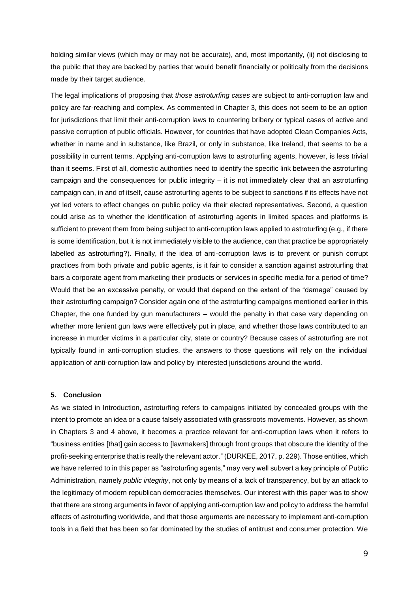holding similar views (which may or may not be accurate), and, most importantly, (ii) not disclosing to the public that they are backed by parties that would benefit financially or politically from the decisions made by their target audience.

The legal implications of proposing that *those astroturfing cases* are subject to anti-corruption law and policy are far-reaching and complex. As commented in Chapter 3, this does not seem to be an option for jurisdictions that limit their anti-corruption laws to countering bribery or typical cases of active and passive corruption of public officials. However, for countries that have adopted Clean Companies Acts, whether in name and in substance, like Brazil, or only in substance, like Ireland, that seems to be a possibility in current terms. Applying anti-corruption laws to astroturfing agents, however, is less trivial than it seems. First of all, domestic authorities need to identify the specific link between the astroturfing campaign and the consequences for public integrity – it is not immediately clear that an astroturfing campaign can, in and of itself, cause astroturfing agents to be subject to sanctions if its effects have not yet led voters to effect changes on public policy via their elected representatives. Second, a question could arise as to whether the identification of astroturfing agents in limited spaces and platforms is sufficient to prevent them from being subject to anti-corruption laws applied to astroturfing (e.g., if there is some identification, but it is not immediately visible to the audience, can that practice be appropriately labelled as astroturfing?). Finally, if the idea of anti-corruption laws is to prevent or punish corrupt practices from both private and public agents, is it fair to consider a sanction against astroturfing that bars a corporate agent from marketing their products or services in specific media for a period of time? Would that be an excessive penalty, or would that depend on the extent of the "damage" caused by their astroturfing campaign? Consider again one of the astroturfing campaigns mentioned earlier in this Chapter, the one funded by gun manufacturers – would the penalty in that case vary depending on whether more lenient gun laws were effectively put in place, and whether those laws contributed to an increase in murder victims in a particular city, state or country? Because cases of astroturfing are not typically found in anti-corruption studies, the answers to those questions will rely on the individual application of anti-corruption law and policy by interested jurisdictions around the world.

## **5. Conclusion**

As we stated in Introduction, astroturfing refers to campaigns initiated by concealed groups with the intent to promote an idea or a cause falsely associated with grassroots movements. However, as shown in Chapters 3 and 4 above, it becomes a practice relevant for anti-corruption laws when it refers to "business entities [that] gain access to [lawmakers] through front groups that obscure the identity of the profit-seeking enterprise that is really the relevant actor." (DURKEE, 2017, p. 229). Those entities, which we have referred to in this paper as "astroturfing agents," may very well subvert a key principle of Public Administration, namely *public integrity*, not only by means of a lack of transparency, but by an attack to the legitimacy of modern republican democracies themselves. Our interest with this paper was to show that there are strong arguments in favor of applying anti-corruption law and policy to address the harmful effects of astroturfing worldwide, and that those arguments are necessary to implement anti-corruption tools in a field that has been so far dominated by the studies of antitrust and consumer protection. We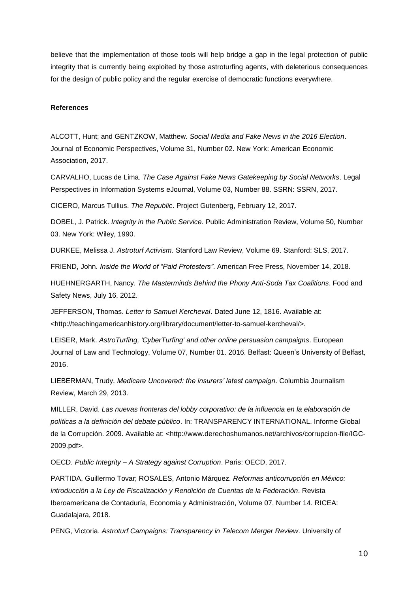believe that the implementation of those tools will help bridge a gap in the legal protection of public integrity that is currently being exploited by those astroturfing agents, with deleterious consequences for the design of public policy and the regular exercise of democratic functions everywhere.

#### **References**

ALCOTT, Hunt; and GENTZKOW, Matthew. *Social Media and Fake News in the 2016 Election*. Journal of Economic Perspectives, Volume 31, Number 02. New York: American Economic Association, 2017.

CARVALHO, Lucas de Lima. *The Case Against Fake News Gatekeeping by Social Networks*. Legal Perspectives in Information Systems eJournal, Volume 03, Number 88. SSRN: SSRN, 2017.

CICERO, Marcus Tullius. *The Republic*. Project Gutenberg, February 12, 2017.

DOBEL, J. Patrick. *Integrity in the Public Service*. Public Administration Review, Volume 50, Number 03. New York: Wiley, 1990.

DURKEE, Melissa J. *Astroturf Activism*. Stanford Law Review, Volume 69. Stanford: SLS, 2017.

FRIEND, John. *Inside the World of "Paid Protesters"*. American Free Press, November 14, 2018.

HUEHNERGARTH, Nancy. *The Masterminds Behind the Phony Anti-Soda Tax Coalitions*. Food and Safety News, July 16, 2012.

JEFFERSON, Thomas. *Letter to Samuel Kercheval*. Dated June 12, 1816. Available at: <http://teachingamericanhistory.org/library/document/letter-to-samuel-kercheval/>.

LEISER, Mark. *AstroTurfing, 'CyberTurfing' and other online persuasion campaigns*. European Journal of Law and Technology, Volume 07, Number 01. 2016. Belfast: Queen's University of Belfast, 2016.

LIEBERMAN, Trudy. *Medicare Uncovered: the insurers' latest campaign*. Columbia Journalism Review, March 29, 2013.

MILLER, David. *Las nuevas fronteras del lobby corporativo: de la influencia en la elaboración de políticas a la definición del debate público*. In: TRANSPARENCY INTERNATIONAL. Informe Global de la Corrupción. 2009. Available at: <http://www.derechoshumanos.net/archivos/corrupcion-file/IGC-2009.pdf>.

OECD. *Public Integrity – A Strategy against Corruption*. Paris: OECD, 2017.

PARTIDA, Guillermo Tovar; ROSALES, Antonio Márquez. *Reformas anticorrupción en México: introducción a la Ley de Fiscalización y Rendición de Cuentas de la Federación*. Revista Iberoamericana de Contaduría, Economia y Administración, Volume 07, Number 14. RICEA: Guadalajara, 2018.

PENG, Victoria. *Astroturf Campaigns: Transparency in Telecom Merger Review*. University of